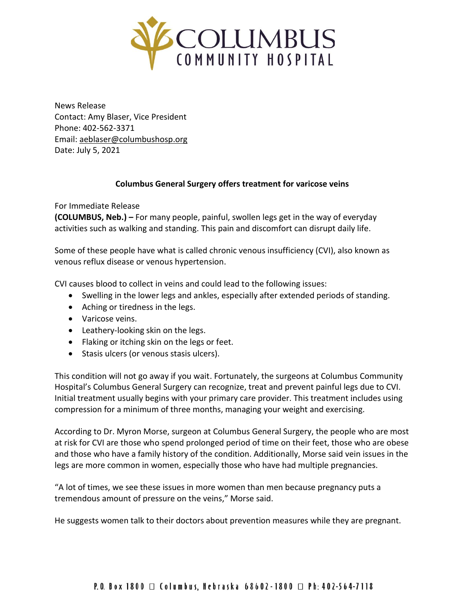

News Release Contact: Amy Blaser, Vice President Phone: 402-562-3371 Email: [aeblaser@columbushosp.org](mailto:aeblaser@columbushosp.org) Date: July 5, 2021

## **Columbus General Surgery offers treatment for varicose veins**

For Immediate Release

**(COLUMBUS, Neb.) –** For many people, painful, swollen legs get in the way of everyday activities such as walking and standing. This pain and discomfort can disrupt daily life.

Some of these people have what is called chronic venous insufficiency (CVI), also known as venous reflux disease or venous hypertension.

CVI causes blood to collect in veins and could lead to the following issues:

- Swelling in the lower legs and ankles, especially after extended periods of standing.
- Aching or tiredness in the legs.
- Varicose veins.
- Leathery-looking skin on the legs.
- Flaking or itching skin on the legs or feet.
- Stasis ulcers (or venous stasis ulcers).

This condition will not go away if you wait. Fortunately, the surgeons at Columbus Community Hospital's Columbus General Surgery can recognize, treat and prevent painful legs due to CVI. Initial treatment usually begins with your primary care provider. This treatment includes using compression for a minimum of three months, managing your weight and exercising.

According to Dr. Myron Morse, surgeon at Columbus General Surgery, the people who are most at risk for CVI are those who spend prolonged period of time on their feet, those who are obese and those who have a family history of the condition. Additionally, Morse said vein issues in the legs are more common in women, especially those who have had multiple pregnancies.

"A lot of times, we see these issues in more women than men because pregnancy puts a tremendous amount of pressure on the veins," Morse said.

He suggests women talk to their doctors about prevention measures while they are pregnant.